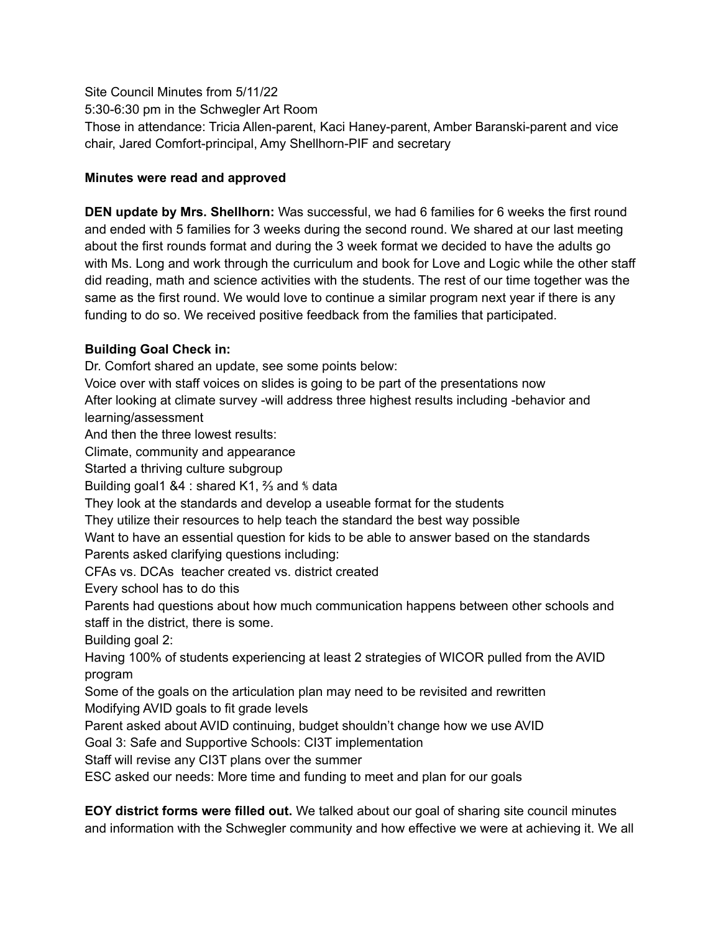Site Council Minutes from 5/11/22 5:30-6:30 pm in the Schwegler Art Room Those in attendance: Tricia Allen-parent, Kaci Haney-parent, Amber Baranski-parent and vice chair, Jared Comfort-principal, Amy Shellhorn-PIF and secretary

## **Minutes were read and approved**

**DEN update by Mrs. Shellhorn:** Was successful, we had 6 families for 6 weeks the first round and ended with 5 families for 3 weeks during the second round. We shared at our last meeting about the first rounds format and during the 3 week format we decided to have the adults go with Ms. Long and work through the curriculum and book for Love and Logic while the other staff did reading, math and science activities with the students. The rest of our time together was the same as the first round. We would love to continue a similar program next year if there is any funding to do so. We received positive feedback from the families that participated.

## **Building Goal Check in:**

Dr. Comfort shared an update, see some points below:

Voice over with staff voices on slides is going to be part of the presentations now

After looking at climate survey -will address three highest results including -behavior and learning/assessment

And then the three lowest results:

Climate, community and appearance

Started a thriving culture subgroup

Building goal1 &4 : shared K1, ⅔ and ⅘ data

They look at the standards and develop a useable format for the students

They utilize their resources to help teach the standard the best way possible

Want to have an essential question for kids to be able to answer based on the standards Parents asked clarifying questions including:

CFAs vs. DCAs teacher created vs. district created

Every school has to do this

Parents had questions about how much communication happens between other schools and staff in the district, there is some.

Building goal 2:

Having 100% of students experiencing at least 2 strategies of WICOR pulled from the AVID program

Some of the goals on the articulation plan may need to be revisited and rewritten Modifying AVID goals to fit grade levels

Parent asked about AVID continuing, budget shouldn't change how we use AVID

Goal 3: Safe and Supportive Schools: CI3T implementation

Staff will revise any CI3T plans over the summer

ESC asked our needs: More time and funding to meet and plan for our goals

**EOY district forms were filled out.** We talked about our goal of sharing site council minutes and information with the Schwegler community and how effective we were at achieving it. We all